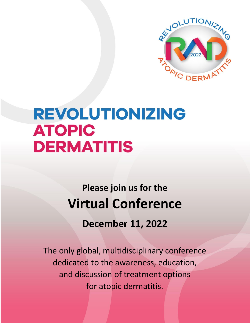

# REVOLUTIONIZING **ATOPIC DERMATITIS**

**Please join us for the Virtual Conference**

**December 11, 2022**

The only global, multidisciplinary conference dedicated to the awareness, education, and discussion of treatment options for atopic dermatitis.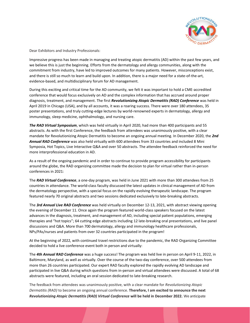

Dear Exhibitors and Industry Professionals:

Impressive progress has been made in managing and treating atopic dermatitis (AD) within the past few years, and we believe this is just the beginning. Efforts from the dermatology and allergy communities, along with the commitment from industry, have led to improved outcomes for many patients. However, misconceptions exist, and there is still so much to learn and build upon. In addition, there is a major need for a state-of-the-art, evidence-based, and multidisciplinary forum for AD management.

During this exciting and critical time for the AD community, we felt it was important to hold a CME-accredited conference that would focus exclusively on AD and the complex information that has accrued around proper diagnosis, treatment, and management. The first *Revolutionizing Atopic Dermatitis (RAD) Conference* was held in April 2019 in Chicago (USA), and by all accounts, it was a roaring success. There were over 180 attendees, 35 poster presentations, and truly cutting-edge lectures by world-renowned experts in dermatology, allergy and immunology, sleep medicine, ophthalmology, and nursing care.

*The RAD Virtual Symposium*, which was held virtually in April 2020, had more than 400 participants and 55 abstracts. As with the first Conference, the feedback from attendees was unanimously positive, with a clear mandate for Revolutionizing Atopic Dermatitis to become an ongoing annual meeting. In December 2020, the *2nd Annual RAD Conference* was also held virtually with 600 attendees from 33 countries and included 8 Mini Symposia, Hot Topics, Live Interactive Q&A and over 50 abstracts. The attendee feedback reinforced the need for more interprofessional education in AD.

As a result of the ongoing pandemic and in order to continue to provide program accessibility for participants around the globe, the RAD organizing committee made the decision to plan for virtual rather than in-person conferences in 2021:

The *RAD Virtual Conference*, a one-day program, was held in June 2021 with more than 300 attendees from 25 countries in attendance. The world-class faculty discussed the latest updates in clinical management of AD from the dermatology perspective, with a special focus on the rapidly evolving therapeutic landscape. The program featured nearly 70 original abstracts and two sessions dedicated exclusively to late-breaking abstracts.

The *3rd Annual Live RAD Conference* was held virtually on December 12-13, 2021, with abstract viewing opening the evening of December 11. Once again the program featured world-class speakers focused on the latest advances in the diagnosis, treatment, and management of AD, including special patient populations, emerging therapies and "hot topics"; 64 cutting edge abstracts including 12 late-breaking oral presentations, and live panel discussions and Q&A. More than 700 dermatology, allergy and immunology healthcare professionals, NPs/PAs/nurses and patients from over 32 countries participated in the program!

At the beginning of 2022, with continued travel restrictions due to the pandemic, the RAD Organizing Committee decided to hold a live conference event both in person and virtually:

The *4th Annual RAD Conference* was a huge success! The program was held live in person on April 9-11, 2022, in Baltimore, Maryland, as well as virtually. Over the course of the two-day conference, over 500 attendees from more than 26 countries participated. Our expert RAD faculty explored the rapidly evolving AD landscape and participated in live Q&A during which questions from in-person and virtual attendees were discussed. A total of 68 abstracts were featured, including an oral session dedicated to late-breaking research.

The feedback from attendees was unanimously positive, with a clear mandate for *Revolutionizing Atopic Dermatitis (RAD)* to become an ongoing annual conference. **Therefore, I am excited to announce the next**  *Revolutionizing Atopic Dermatitis (RAD) Virtual Conference* **will be held in December 2022.** We anticipate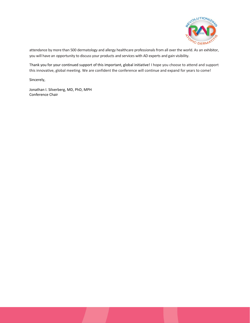

attendance by more than 500 dermatology and allergy healthcare professionals from all over the world. As an exhibitor, you will have an opportunity to discuss your products and services with AD experts and gain visibility.

Thank you for your continued support of this important, global initiative! I hope you choose to attend and support this innovative, global meeting. We are confident the conference will continue and expand for years to come!

Sincerely,

Jonathan I. Silverberg, MD, PhD, MPH Conference Chair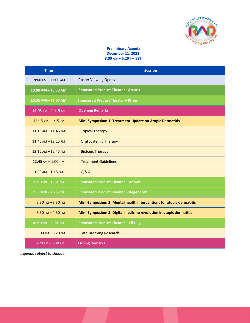

# **Preliminary Agenda December 11, 2022 8:00 AM – 6:20 PM EST**

| <b>Time</b>                         | <b>Session</b>                                                      |
|-------------------------------------|---------------------------------------------------------------------|
| $8:00$ AM $- 11:00$ AM              | <b>Poster Viewing Opens</b>                                         |
| 10:00 AM - 10:30 AM                 | <b>Sponsored Product Theater - Arcutis</b>                          |
| 10:35 AM - 11:05 AM                 | <b>Sponsored Product Theater - Pfizer</b>                           |
| $11:05$ AM $- 11:15$ AM             | <b>Opening Remarks</b>                                              |
| $11:15$ AM $- 1:15$ PM              | Mini-Symposium 1: Treatment Update on Atopic Dermatitis             |
| $11:15$ AM $- 11:45$ PM             | <b>Topical Therapy</b>                                              |
| $11:45$ AM $- 12:15$ PM             | <b>Oral Systemic Therapy</b>                                        |
| $12:15$ AM $- 12:45$ PM             | <b>Biologic Therapy</b>                                             |
| 12:45 AM - 1:00 PM                  | <b>Treatment Guidelines</b>                                         |
| $1:00$ AM $-1:15$ PM                | Q & A                                                               |
| $1:20$ PM $-1:50$ PM                | <b>Sponsored Product Theater - Abbvie</b>                           |
| $1:55$ PM $- 2:25$ PM               | <b>Sponsored Product Theater - Regeneron</b>                        |
| $2:30$ PM $-3:30$ PM                | Mini-Symposium 2: Mental health interventions for atopic dermatitis |
| $3:30$ PM $- 4:30$ PM               | Mini-Symposium 3: Digital medicine revolution in atopic dermatitis  |
| $4:30$ PM $-5:00$ PM                | Sponsored Product Theater - Eli Lilly                               |
| $5:00$ PM $-6:20$ PM                | <b>Late-Breaking Research</b>                                       |
| $6:20 \text{ PM} - 6:30 \text{ PM}$ | <b>Closing Remarks</b>                                              |

*(Agenda subject to change)*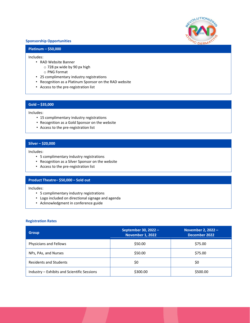

## **Sponsorship Opportunities**

# **Platinum – \$50,000**

### Includes:

- RAD Website Banner
	- o 728 px wide by 90 px high
	- o PNG Format
- 25 complimentary industry registrations
- Recognition as a Platinum Sponsor on the RAD website
- Access to the pre-registration list

# **Gold – \$35,000**

### Includes:

- 15 complimentary industry registrations
- Recognition as a Gold Sponsor on the website
- Access to the pre-registration list

# **Silver – \$20,000**

## Includes:

- 5 complimentary industry registrations
- Recognition as a Silver Sponsor on the website
- Access to the pre-registration list

# **Product Theatre– \$50,000 – Sold out**

Includes:

- 5 complimentary industry registrations
- Logo included on directional signage and agenda
- Acknowledgment in conference guide

# **Registration Rates**

| <b>Group</b>                                | September 30, 2022 -<br>November 1, 2022 | November 2, 2022 -<br>December 2022 |
|---------------------------------------------|------------------------------------------|-------------------------------------|
| Physicians and Fellows                      | \$50.00                                  | \$75.00                             |
| NPs, PAs, and Nurses                        | \$50.00                                  | \$75.00                             |
| <b>Residents and Students</b>               | \$0                                      | \$0                                 |
| Industry - Exhibits and Scientific Sessions | \$300.00                                 | \$500.00                            |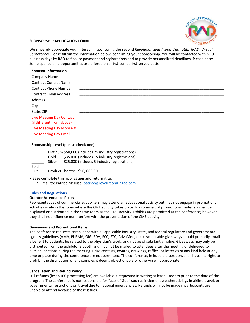

## **SPONSORSHIP APPLICATION FORM**

We sincerely appreciate your interest in sponsoring the second *Revolutionizing Atopic Dermatitis (RAD) Virtual Conference*! Please fill out the information below, confirming your sponsorship. You will be contacted within 10 business days by RAD to finalize payment and registrations and to provide personalized deadlines. Please note: Some sponsorship opportunities are offered on a first-come, first-served basis.

## **Sponsor Information**

| <b>Company Name</b>             |  |
|---------------------------------|--|
| <b>Contract Contact Name</b>    |  |
| <b>Contract Phone Number</b>    |  |
| <b>Contract Email Address</b>   |  |
| Address                         |  |
| City                            |  |
| State, ZIP                      |  |
| <b>Live Meeting Day Contact</b> |  |
| (if different from above)       |  |
| Live Meeting Day Mobile #       |  |
| Live Meeting Day Email          |  |

## **Sponsorship Level (please check one)**

|          |        | Platinum \$50,000 (includes 25 industry registrations) |
|----------|--------|--------------------------------------------------------|
|          | Gold   | \$35,000 (includes 15 industry registrations)          |
|          | Silver | \$25,000 (includes 5 industry registrations)           |
| Sold     |        |                                                        |
| $\sim$ . |        |                                                        |

Out Product Theatre - \$50, 000.00 –

#### **Please complete this application and return it to:**

• Email to: Patrice Melluso, [patrice@revolutionizingad.com](mailto:pmelluso@theaccredited.com)

#### **Rules and Regulations**

#### **Grantor Attendance Policy**

Representatives of commercial supporters may attend an educational activity but may not engage in promotional activities while in the room where the CME activity takes place. No commercial promotional materials shall be displayed or distributed in the same room as the CME activity. Exhibits are permitted at the conference; however, they shall not influence nor interfere with the presentation of the CME activity.

#### **Giveaways and Promotional Items**

The conference requests compliance with all applicable industry, state, and federal regulatory and governmental agency guidelines (AMA, PhRMA, OIG, FDA, FCC, FTC, AdvaMed, etc.). Acceptable giveaways should primarily entail a benefit to patients, be related to the physician's work, and not be of substantial value. Giveaways may only be distributed from the exhibitor's booth and may not be mailed to attendees after the meeting or delivered to outside locations during the meeting. Prize contests, awards, drawings, raffles, or lotteries of any kind held at any time or place during the conference are not permitted. The conference, in its sole discretion, shall have the right to prohibit the distribution of any samples it deems objectionable or otherwise inappropriate.

#### **Cancellation and Refund Policy**

Full refunds (less \$100 processing fee) are available if requested in writing at least 1 month prior to the date of the program. The conference is not responsible for "acts of God" such as inclement weather, delays in airline travel, or governmental restrictions on travel due to national emergencies. Refunds will not be made if participants are unable to attend because of these issues.